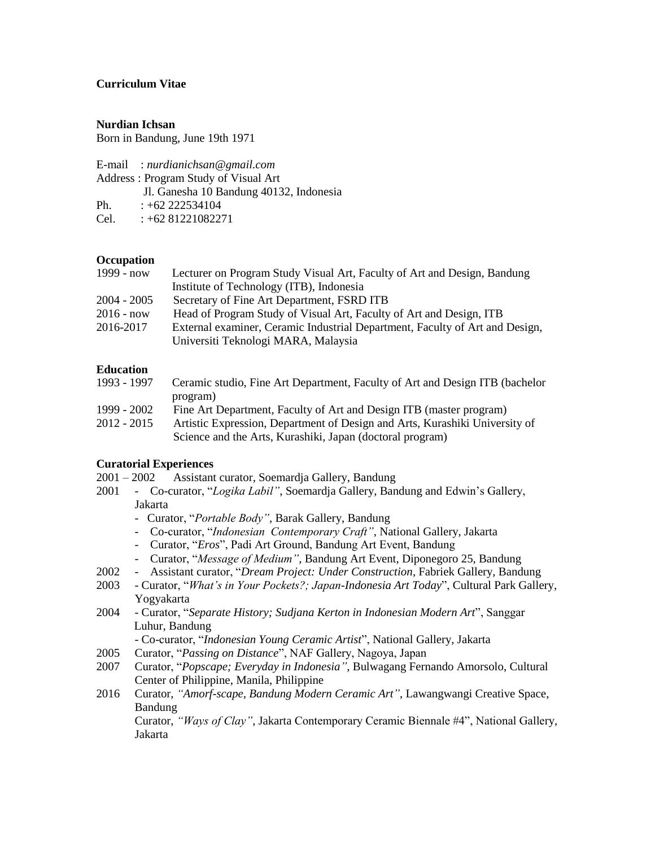## **Curriculum Vitae**

#### **Nurdian Ichsan**

Born in Bandung, June 19th 1971

E-mail : *nurdianichsan@gmail.com*

Address : Program Study of Visual Art

Jl. Ganesha 10 Bandung 40132, Indonesia

Ph.  $: +62\,222534104$ 

Cel.  $: +6281221082271$ 

## **Occupation**

| 1999 - now    | Lecturer on Program Study Visual Art, Faculty of Art and Design, Bandung     |
|---------------|------------------------------------------------------------------------------|
|               | Institute of Technology (ITB), Indonesia                                     |
| $2004 - 2005$ | Secretary of Fine Art Department, FSRD ITB                                   |
| $2016 - now$  | Head of Program Study of Visual Art, Faculty of Art and Design, ITB          |
| 2016-2017     | External examiner, Ceramic Industrial Department, Faculty of Art and Design, |
|               | Universiti Teknologi MARA, Malaysia                                          |

# **Education**

| 1993 - 1997   | Ceramic studio, Fine Art Department, Faculty of Art and Design ITB (bachelor |
|---------------|------------------------------------------------------------------------------|
|               | program)                                                                     |
| 1999 - 2002   | Fine Art Department, Faculty of Art and Design ITB (master program)          |
| $2012 - 2015$ | Artistic Expression, Department of Design and Arts, Kurashiki University of  |
|               | Science and the Arts, Kurashiki, Japan (doctoral program)                    |

## **Curatorial Experiences**

- 2001 2002 Assistant curator, Soemardja Gallery, Bandung
- 2001 Co-curator, "*Logika Labil"*, Soemardja Gallery, Bandung and Edwin's Gallery, Jakarta
	- Curator, "*Portable Body"*, Barak Gallery, Bandung
	- Co-curator, "*Indonesian Contemporary Craft"*, National Gallery, Jakarta
	- Curator, "*Eros*", Padi Art Ground, Bandung Art Event, Bandung
	- Curator, "*Message of Medium"*, Bandung Art Event, Diponegoro 25, Bandung
- 2002 Assistant curator, "*Dream Project: Under Construction*, Fabriek Gallery, Bandung
- 2003 Curator, "*What's in Your Pockets?; Japan-Indonesia Art Today*", Cultural Park Gallery, Yogyakarta
- 2004 Curator, "*Separate History; Sudjana Kerton in Indonesian Modern Art*", Sanggar Luhur, Bandung

- Co-curator, "*Indonesian Young Ceramic Artist*", National Gallery, Jakarta

- 2005 Curator, "*Passing on Distance*", NAF Gallery, Nagoya, Japan
- 2007 Curator, "*Popscape; Everyday in Indonesia"*, Bulwagang Fernando Amorsolo, Cultural Center of Philippine, Manila, Philippine
- 2016 Curator, *"Amorf-scape, Bandung Modern Ceramic Art"*, Lawangwangi Creative Space, Bandung

Curator, *"Ways of Clay"*, Jakarta Contemporary Ceramic Biennale #4", National Gallery, Jakarta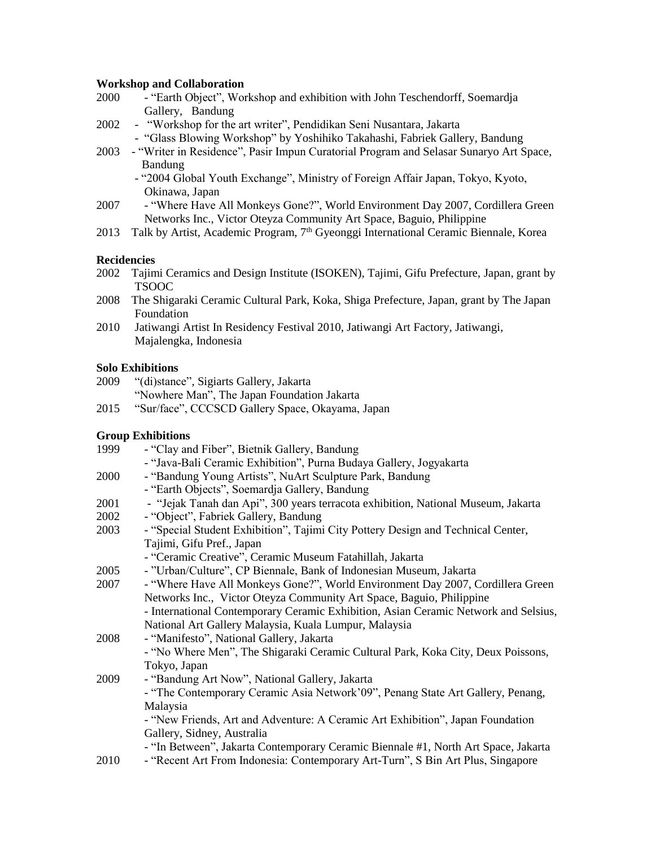#### **Workshop and Collaboration**

- 2000 "Earth Object", Workshop and exhibition with John Teschendorff, Soemardja Gallery, Bandung
- 2002 "Workshop for the art writer", Pendidikan Seni Nusantara, Jakarta - "Glass Blowing Workshop" by Yoshihiko Takahashi, Fabriek Gallery, Bandung
- 2003 "Writer in Residence", Pasir Impun Curatorial Program and Selasar Sunaryo Art Space, Bandung
	- "2004 Global Youth Exchange", Ministry of Foreign Affair Japan, Tokyo, Kyoto, Okinawa, Japan
- 2007 "Where Have All Monkeys Gone?", World Environment Day 2007, Cordillera Green Networks Inc., Victor Oteyza Community Art Space, Baguio, Philippine
- 2013 Talk by Artist, Academic Program, 7<sup>th</sup> Gyeonggi International Ceramic Biennale, Korea

## **Recidencies**

- 2002 Tajimi Ceramics and Design Institute (ISOKEN), Tajimi, Gifu Prefecture, Japan, grant by TSOOC
- 2008 The Shigaraki Ceramic Cultural Park, Koka, Shiga Prefecture, Japan, grant by The Japan Foundation
- 2010 Jatiwangi Artist In Residency Festival 2010, Jatiwangi Art Factory, Jatiwangi, Majalengka, Indonesia

## **Solo Exhibitions**

- 2009 "(di)stance", Sigiarts Gallery, Jakarta "Nowhere Man", The Japan Foundation Jakarta
- 2015 "Sur/face", CCCSCD Gallery Space, Okayama, Japan

## **Group Exhibitions**

| 1999 | - "Clay and Fiber", Bietnik Gallery, Bandung                                        |
|------|-------------------------------------------------------------------------------------|
|      | - "Java-Bali Ceramic Exhibition", Purna Budaya Gallery, Jogyakarta                  |
| 2000 | - "Bandung Young Artists", NuArt Sculpture Park, Bandung                            |
|      | - "Earth Objects", Soemardja Gallery, Bandung                                       |
| 2001 | - "Jejak Tanah dan Api", 300 years terracota exhibition, National Museum, Jakarta   |
| 2002 | - "Object", Fabriek Gallery, Bandung                                                |
| 2003 | - "Special Student Exhibition", Tajimi City Pottery Design and Technical Center,    |
|      | Tajimi, Gifu Pref., Japan                                                           |
|      | - "Ceramic Creative", Ceramic Museum Fatahillah, Jakarta                            |
| 2005 | - "Urban/Culture", CP Biennale, Bank of Indonesian Museum, Jakarta                  |
| 2007 | - "Where Have All Monkeys Gone?", World Environment Day 2007, Cordillera Green      |
|      | Networks Inc., Victor Oteyza Community Art Space, Baguio, Philippine                |
|      | - International Contemporary Ceramic Exhibition, Asian Ceramic Network and Selsius, |
|      | National Art Gallery Malaysia, Kuala Lumpur, Malaysia                               |
| 2008 | - "Manifesto", National Gallery, Jakarta                                            |
|      | - "No Where Men", The Shigaraki Ceramic Cultural Park, Koka City, Deux Poissons,    |
|      | Tokyo, Japan                                                                        |
| 2009 | - "Bandung Art Now", National Gallery, Jakarta                                      |
|      | - "The Contemporary Ceramic Asia Network'09", Penang State Art Gallery, Penang,     |
|      | Malaysia                                                                            |
|      | - "New Friends, Art and Adventure: A Ceramic Art Exhibition", Japan Foundation      |
|      | Gallery, Sidney, Australia                                                          |
|      | - "In Between", Jakarta Contemporary Ceramic Biennale #1, North Art Space, Jakarta  |
| 2010 | - "Recent Art From Indonesia: Contemporary Art-Turn", S Bin Art Plus, Singapore     |